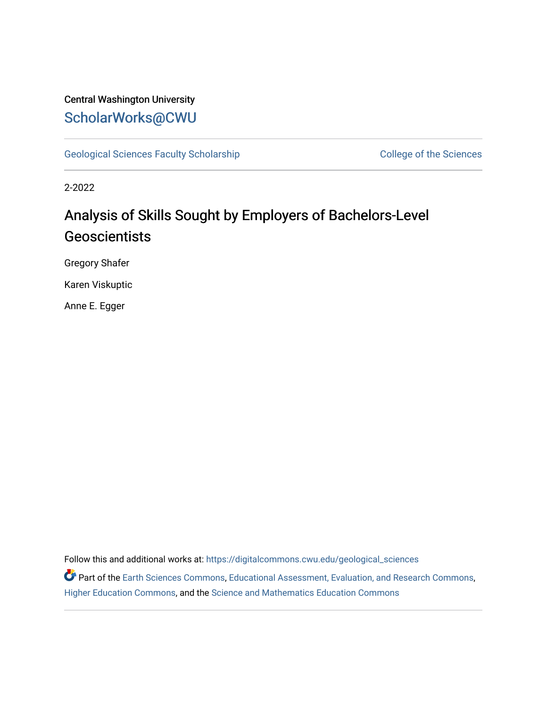### Central Washington University [ScholarWorks@CWU](https://digitalcommons.cwu.edu/)

[Geological Sciences Faculty Scholarship](https://digitalcommons.cwu.edu/geological_sciences) College of the Sciences

2-2022

## Analysis of Skills Sought by Employers of Bachelors-Level Geoscientists

Gregory Shafer

Karen Viskuptic

Anne E. Egger

Follow this and additional works at: [https://digitalcommons.cwu.edu/geological\\_sciences](https://digitalcommons.cwu.edu/geological_sciences?utm_source=digitalcommons.cwu.edu%2Fgeological_sciences%2F171&utm_medium=PDF&utm_campaign=PDFCoverPages) 

Part of the [Earth Sciences Commons,](http://network.bepress.com/hgg/discipline/153?utm_source=digitalcommons.cwu.edu%2Fgeological_sciences%2F171&utm_medium=PDF&utm_campaign=PDFCoverPages) [Educational Assessment, Evaluation, and Research Commons](http://network.bepress.com/hgg/discipline/796?utm_source=digitalcommons.cwu.edu%2Fgeological_sciences%2F171&utm_medium=PDF&utm_campaign=PDFCoverPages), [Higher Education Commons,](http://network.bepress.com/hgg/discipline/1245?utm_source=digitalcommons.cwu.edu%2Fgeological_sciences%2F171&utm_medium=PDF&utm_campaign=PDFCoverPages) and the [Science and Mathematics Education Commons](http://network.bepress.com/hgg/discipline/800?utm_source=digitalcommons.cwu.edu%2Fgeological_sciences%2F171&utm_medium=PDF&utm_campaign=PDFCoverPages)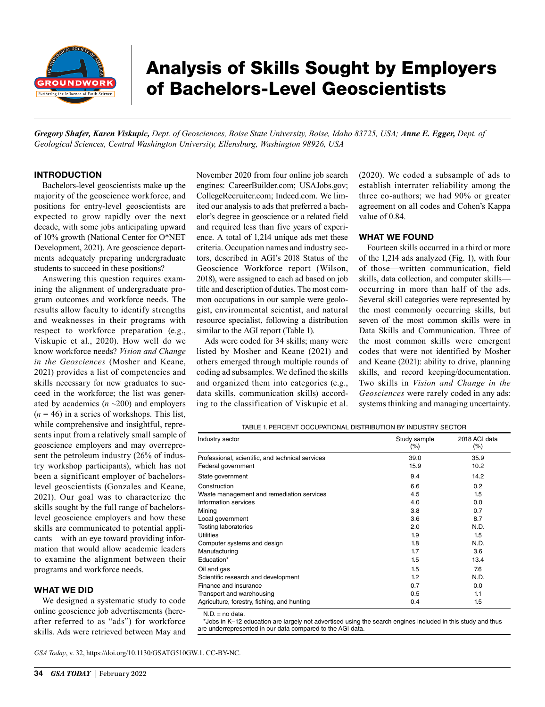

# Analysis of Skills Sought by Employers of Bachelors-Level Geoscientists

*Gregory Shafer, Karen Viskupic, Dept. of Geosciences, Boise State University, Boise, Idaho 83725, USA; Anne E. Egger, Dept. of Geological Sciences, Central Washington University, Ellensburg, Washington 98926, USA*

#### INTRODUCTION

Bachelors-level geoscientists make up the majority of the geoscience workforce, and positions for entry-level geoscientists are expected to grow rapidly over the next decade, with some jobs anticipating upward of 10% growth (National Center for O\*NET Development, 2021). Are geoscience departments adequately preparing undergraduate students to succeed in these positions?

Answering this question requires examining the alignment of undergraduate program outcomes and workforce needs. The results allow faculty to identify strengths and weaknesses in their programs with respect to workforce preparation (e.g., Viskupic et al., 2020). How well do we know workforce needs? *Vision and Change in the Geosciences* (Mosher and Keane, 2021) provides a list of competencies and skills necessary for new graduates to succeed in the workforce; the list was generated by academics  $(n \sim 200)$  and employers  $(n = 46)$  in a series of workshops. This list, while comprehensive and insightful, represents input from a relatively small sample of geoscience employers and may overrepresent the petroleum industry (26% of industry workshop participants), which has not been a significant employer of bachelorslevel geoscientists (Gonzales and Keane, 2021). Our goal was to characterize the skills sought by the full range of bachelorslevel geoscience employers and how these skills are communicated to potential applicants—with an eye toward providing information that would allow academic leaders to examine the alignment between their programs and workforce needs.

#### WHAT WE DID

We designed a systematic study to code online geoscience job advertisements (hereafter referred to as "ads") for workforce skills. Ads were retrieved between May and November 2020 from four online job search engines: [CareerBuilder.com;](http://www.CareerBuilder.com) [USAJobs.gov;](http://www.USAJobs.gov) [CollegeRecruiter.com](http://www.CollegeRecruiter.com); [Indeed.com.](http://www.Indeed.com) We limited our analysis to ads that preferred a bachelor's degree in geoscience or a related field and required less than five years of experience. A total of 1,214 unique ads met these criteria. Occupation names and industry sectors, described in AGI's 2018 Status of the Geoscience Workforce report (Wilson, 2018), were assigned to each ad based on job title and description of duties. The most common occupations in our sample were geologist, environmental scientist, and natural resource specialist, following a distribution similar to the AGI report (Table 1).

Ads were coded for 34 skills; many were listed by Mosher and Keane (2021) and others emerged through multiple rounds of coding ad subsamples. We defined the skills and organized them into categories (e.g., data skills, communication skills) according to the classification of Viskupic et al. (2020). We coded a subsample of ads to establish interrater reliability among the three co-authors; we had 90% or greater agreement on all codes and Cohen's Kappa value of 0.84.

#### WHAT WE FOUND

Fourteen skills occurred in a third or more of the 1,214 ads analyzed (Fig. 1), with four of those—written communication, field skills, data collection, and computer skills occurring in more than half of the ads. Several skill categories were represented by the most commonly occurring skills, but seven of the most common skills were in Data Skills and Communication. Three of the most common skills were emergent codes that were not identified by Mosher and Keane (2021): ability to drive, planning skills, and record keeping/documentation. Two skills in *Vision and Change in the Geosciences* were rarely coded in any ads: systems thinking and managing uncertainty.

TABLE 1. PERCENT OCCUPATIONAL DISTRIBUTION BY INDUSTRY SECTOR

| Industry sector                                  | Study sample<br>$(\%)$ | 2018 AGI data<br>$(\% )$ |
|--------------------------------------------------|------------------------|--------------------------|
| Professional, scientific, and technical services | 39.0                   | 35.9                     |
| Federal government                               | 15.9                   | 10.2                     |
| State government                                 | 9.4                    | 14.2                     |
| Construction                                     | 6.6                    | 0.2                      |
| Waste management and remediation services        | 4.5                    | 1.5                      |
| Information services                             | 4.0                    | 0.0                      |
| Mining                                           | 3.8                    | 0.7                      |
| Local government                                 | 3.6                    | 8.7                      |
| Testing laboratories                             | 2.0                    | N.D.                     |
| Utilities                                        | 1.9                    | 1.5                      |
| Computer systems and design                      | 1.8                    | N.D.                     |
| Manufacturing                                    | 1.7                    | 3.6                      |
| Education*                                       | 1.5                    | 13.4                     |
| Oil and gas                                      | 1.5                    | 7.6                      |
| Scientific research and development              | 1.2                    | N.D.                     |
| Finance and insurance                            | 0.7                    | 0.0                      |
| Transport and warehousing                        | 0.5                    | 1.1                      |
| Agriculture, forestry, fishing, and hunting      | 0.4                    | 1.5                      |

 $N.D = no$  data.

\*Jobs in K–12 education are largely not advertised using the search engines included in this study and thus are underrepresented in our data compared to the AGI data.

*GSA Today*, v. 32, <https://doi.org/10.1130/GSATG510GW.1>. CC-BY-NC.